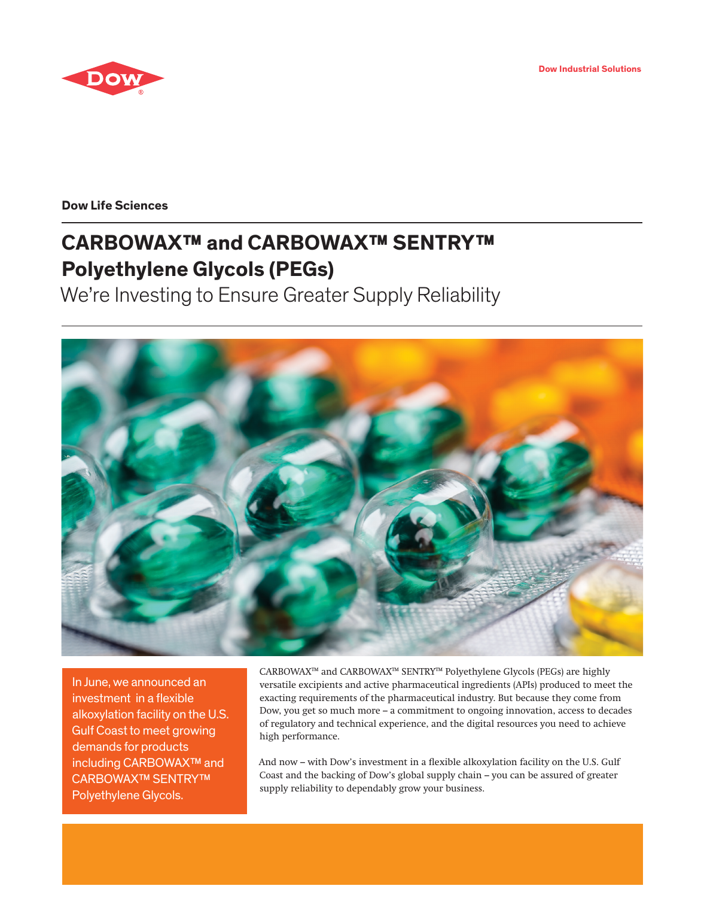**Dow Industrial Solutions**



**Dow Life Sciences**

# **CARBOWAX™ and CARBOWAX™ SENTRY™ Polyethylene Glycols (PEGs)**

We're Investing to Ensure Greater Supply Reliability



In June, we announced an investment in a flexible alkoxylation facility on the U.S. Gulf Coast to meet growing demands for products including CARBOWAX™ and CARBOWAX™ SENTRY™ Polyethylene Glycols.

CARBOWAX™ and CARBOWAX™ SENTRY™ Polyethylene Glycols (PEGs) are highly versatile excipients and active pharmaceutical ingredients (APIs) produced to meet the exacting requirements of the pharmaceutical industry. But because they come from Dow, you get so much more – a commitment to ongoing innovation, access to decades of regulatory and technical experience, and the digital resources you need to achieve high performance.

And now – with Dow's investment in a flexible alkoxylation facility on the U.S. Gulf Coast and the backing of Dow's global supply chain – you can be assured of greater supply reliability to dependably grow your business.